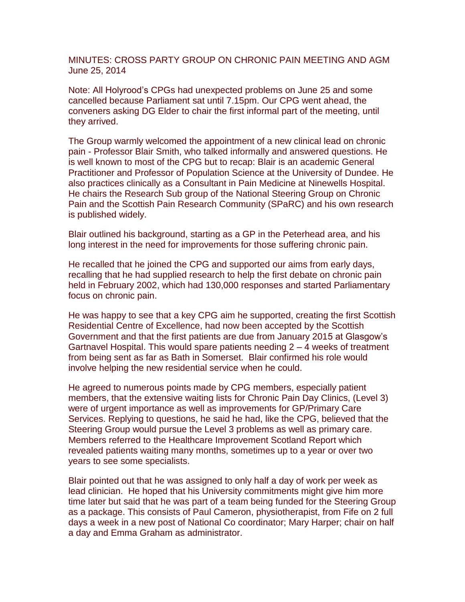MINUTES: CROSS PARTY GROUP ON CHRONIC PAIN MEETING AND AGM June 25, 2014

Note: All Holyrood's CPGs had unexpected problems on June 25 and some cancelled because Parliament sat until 7.15pm. Our CPG went ahead, the conveners asking DG Elder to chair the first informal part of the meeting, until they arrived.

The Group warmly welcomed the appointment of a new clinical lead on chronic pain - Professor Blair Smith, who talked informally and answered questions. He is well known to most of the CPG but to recap: Blair is an academic General Practitioner and Professor of Population Science at the University of Dundee. He also practices clinically as a Consultant in Pain Medicine at Ninewells Hospital. He chairs the Research Sub group of the National Steering Group on Chronic Pain and the Scottish Pain Research Community (SPaRC) and his own research is published widely.

Blair outlined his background, starting as a GP in the Peterhead area, and his long interest in the need for improvements for those suffering chronic pain.

He recalled that he joined the CPG and supported our aims from early days, recalling that he had supplied research to help the first debate on chronic pain held in February 2002, which had 130,000 responses and started Parliamentary focus on chronic pain.

He was happy to see that a key CPG aim he supported, creating the first Scottish Residential Centre of Excellence, had now been accepted by the Scottish Government and that the first patients are due from January 2015 at Glasgow's Gartnavel Hospital. This would spare patients needing 2 – 4 weeks of treatment from being sent as far as Bath in Somerset. Blair confirmed his role would involve helping the new residential service when he could.

He agreed to numerous points made by CPG members, especially patient members, that the extensive waiting lists for Chronic Pain Day Clinics, (Level 3) were of urgent importance as well as improvements for GP/Primary Care Services. Replying to questions, he said he had, like the CPG, believed that the Steering Group would pursue the Level 3 problems as well as primary care. Members referred to the Healthcare Improvement Scotland Report which revealed patients waiting many months, sometimes up to a year or over two years to see some specialists.

Blair pointed out that he was assigned to only half a day of work per week as lead clinician. He hoped that his University commitments might give him more time later but said that he was part of a team being funded for the Steering Group as a package. This consists of Paul Cameron, physiotherapist, from Fife on 2 full days a week in a new post of National Co coordinator; Mary Harper; chair on half a day and Emma Graham as administrator.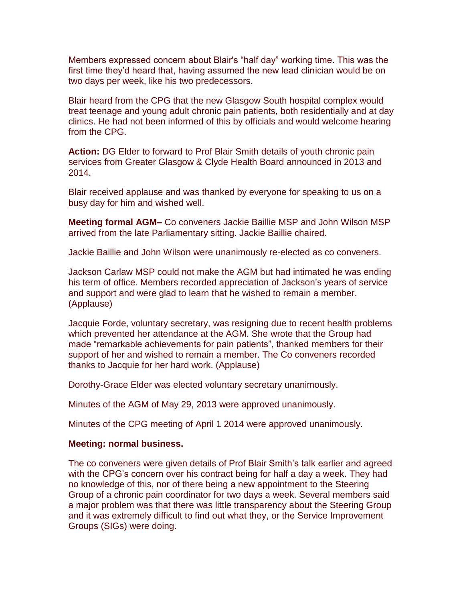Members expressed concern about Blair's "half day" working time. This was the first time they'd heard that, having assumed the new lead clinician would be on two days per week, like his two predecessors.

Blair heard from the CPG that the new Glasgow South hospital complex would treat teenage and young adult chronic pain patients, both residentially and at day clinics. He had not been informed of this by officials and would welcome hearing from the CPG.

**Action:** DG Elder to forward to Prof Blair Smith details of youth chronic pain services from Greater Glasgow & Clyde Health Board announced in 2013 and 2014.

Blair received applause and was thanked by everyone for speaking to us on a busy day for him and wished well.

**Meeting formal AGM–** Co conveners Jackie Baillie MSP and John Wilson MSP arrived from the late Parliamentary sitting. Jackie Baillie chaired.

Jackie Baillie and John Wilson were unanimously re-elected as co conveners.

Jackson Carlaw MSP could not make the AGM but had intimated he was ending his term of office. Members recorded appreciation of Jackson's years of service and support and were glad to learn that he wished to remain a member. (Applause)

Jacquie Forde, voluntary secretary, was resigning due to recent health problems which prevented her attendance at the AGM. She wrote that the Group had made "remarkable achievements for pain patients", thanked members for their support of her and wished to remain a member. The Co conveners recorded thanks to Jacquie for her hard work. (Applause)

Dorothy-Grace Elder was elected voluntary secretary unanimously.

Minutes of the AGM of May 29, 2013 were approved unanimously.

Minutes of the CPG meeting of April 1 2014 were approved unanimously.

## **Meeting: normal business.**

The co conveners were given details of Prof Blair Smith's talk earlier and agreed with the CPG's concern over his contract being for half a day a week. They had no knowledge of this, nor of there being a new appointment to the Steering Group of a chronic pain coordinator for two days a week. Several members said a major problem was that there was little transparency about the Steering Group and it was extremely difficult to find out what they, or the Service Improvement Groups (SIGs) were doing.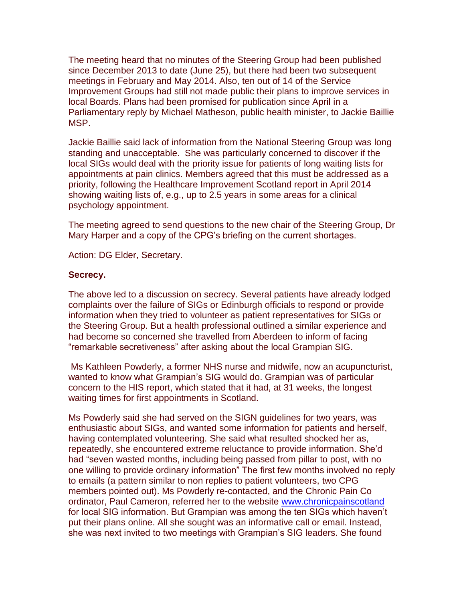The meeting heard that no minutes of the Steering Group had been published since December 2013 to date (June 25), but there had been two subsequent meetings in February and May 2014. Also, ten out of 14 of the Service Improvement Groups had still not made public their plans to improve services in local Boards. Plans had been promised for publication since April in a Parliamentary reply by Michael Matheson, public health minister, to Jackie Baillie MSP.

Jackie Baillie said lack of information from the National Steering Group was long standing and unacceptable. She was particularly concerned to discover if the local SIGs would deal with the priority issue for patients of long waiting lists for appointments at pain clinics. Members agreed that this must be addressed as a priority, following the Healthcare Improvement Scotland report in April 2014 showing waiting lists of, e.g., up to 2.5 years in some areas for a clinical psychology appointment.

The meeting agreed to send questions to the new chair of the Steering Group, Dr Mary Harper and a copy of the CPG's briefing on the current shortages.

Action: DG Elder, Secretary.

## **Secrecy.**

The above led to a discussion on secrecy. Several patients have already lodged complaints over the failure of SIGs or Edinburgh officials to respond or provide information when they tried to volunteer as patient representatives for SIGs or the Steering Group. But a health professional outlined a similar experience and had become so concerned she travelled from Aberdeen to inform of facing "remarkable secretiveness" after asking about the local Grampian SIG.

Ms Kathleen Powderly, a former NHS nurse and midwife, now an acupuncturist, wanted to know what Grampian's SIG would do. Grampian was of particular concern to the HIS report, which stated that it had, at 31 weeks, the longest waiting times for first appointments in Scotland.

Ms Powderly said she had served on the SIGN guidelines for two years, was enthusiastic about SIGs, and wanted some information for patients and herself, having contemplated volunteering. She said what resulted shocked her as, repeatedly, she encountered extreme reluctance to provide information. She'd had "seven wasted months, including being passed from pillar to post, with no one willing to provide ordinary information" The first few months involved no reply to emails (a pattern similar to non replies to patient volunteers, two CPG members pointed out). Ms Powderly re-contacted, and the Chronic Pain Co ordinator, Paul Cameron, referred her to the website [www.chronicpainscotland](http://www.chronicpainscotland/) for local SIG information. But Grampian was among the ten SIGs which haven't put their plans online. All she sought was an informative call or email. Instead, she was next invited to two meetings with Grampian's SIG leaders. She found